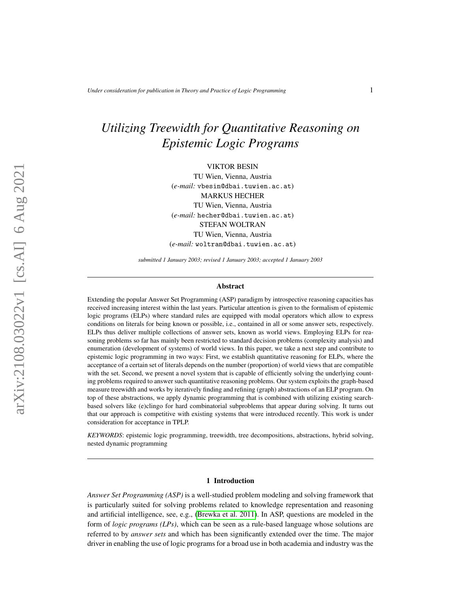# *Utilizing Treewidth for Quantitative Reasoning on Epistemic Logic Programs*

VIKTOR BESIN

TU Wien, Vienna, Austria (*e-mail:* vbesin@dbai.tuwien.ac.at) MARKUS HECHER TU Wien, Vienna, Austria (*e-mail:* hecher@dbai.tuwien.ac.at) STEFAN WOLTRAN TU Wien, Vienna, Austria (*e-mail:* woltran@dbai.tuwien.ac.at)

*submitted 1 January 2003; revised 1 January 2003; accepted 1 January 2003*

#### Abstract

Extending the popular Answer Set Programming (ASP) paradigm by introspective reasoning capacities has received increasing interest within the last years. Particular attention is given to the formalism of epistemic logic programs (ELPs) where standard rules are equipped with modal operators which allow to express conditions on literals for being known or possible, i.e., contained in all or some answer sets, respectively. ELPs thus deliver multiple collections of answer sets, known as world views. Employing ELPs for reasoning problems so far has mainly been restricted to standard decision problems (complexity analysis) and enumeration (development of systems) of world views. In this paper, we take a next step and contribute to epistemic logic programming in two ways: First, we establish quantitative reasoning for ELPs, where the acceptance of a certain set of literals depends on the number (proportion) of world views that are compatible with the set. Second, we present a novel system that is capable of efficiently solving the underlying counting problems required to answer such quantitative reasoning problems. Our system exploits the graph-based measure treewidth and works by iteratively finding and refining (graph) abstractions of an ELP program. On top of these abstractions, we apply dynamic programming that is combined with utilizing existing searchbased solvers like (e)clingo for hard combinatorial subproblems that appear during solving. It turns out that our approach is competitive with existing systems that were introduced recently. This work is under consideration for acceptance in TPLP.

*KEYWORDS*: epistemic logic programming, treewidth, tree decompositions, abstractions, hybrid solving, nested dynamic programming

#### 1 Introduction

*Answer Set Programming (ASP)* is a well-studied problem modeling and solving framework that is particularly suited for solving problems related to knowledge representation and reasoning and artificial intelligence, see, e.g., [\(Brewka et al. 2011\)](#page-14-0). In ASP, questions are modeled in the form of *logic programs (LPs)*, which can be seen as a rule-based language whose solutions are referred to by *answer sets* and which has been significantly extended over the time. The major driver in enabling the use of logic programs for a broad use in both academia and industry was the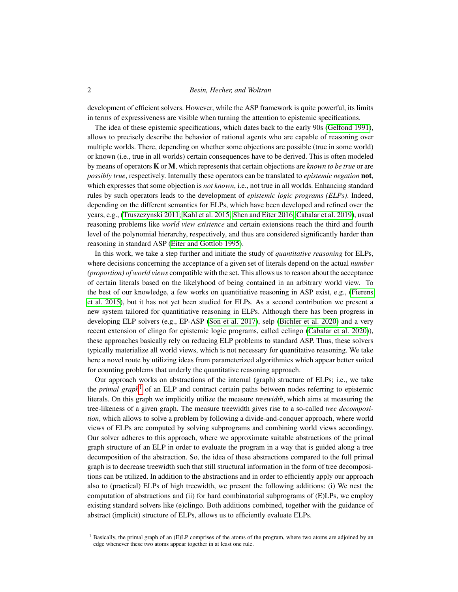development of efficient solvers. However, while the ASP framework is quite powerful, its limits in terms of expressiveness are visible when turning the attention to epistemic specifications.

The idea of these epistemic specifications, which dates back to the early 90s [\(Gelfond 1991\)](#page-15-0), allows to precisely describe the behavior of rational agents who are capable of reasoning over multiple worlds. There, depending on whether some objections are possible (true in some world) or known (i.e., true in all worlds) certain consequences have to be derived. This is often modeled by means of operators K or M, which represents that certain objections are *known to be true* or are *possibly true*, respectively. Internally these operators can be translated to *epistemic negation* not, which expresses that some objection is *not known*, i.e., not true in all worlds. Enhancing standard rules by such operators leads to the development of *epistemic logic programs (ELPs)*. Indeed, depending on the different semantics for ELPs, which have been developed and refined over the years, e.g., [\(Truszczynski 2011;](#page-15-1) [Kahl et al. 2015;](#page-15-2) [Shen and Eiter 2016;](#page-15-3) [Cabalar et al. 2019\)](#page-14-1), usual reasoning problems like *world view existence* and certain extensions reach the third and fourth level of the polynomial hierarchy, respectively, and thus are considered significantly harder than reasoning in standard ASP [\(Eiter and Gottlob 1995\)](#page-14-2).

In this work, we take a step further and initiate the study of *quantitative reasoning* for ELPs, where decisions concerning the acceptance of a given set of literals depend on the actual *number (proportion) of world views* compatible with the set. This allows us to reason about the acceptance of certain literals based on the likelyhood of being contained in an arbitrary world view. To the best of our knowledge, a few works on quantitiative reasoning in ASP exist, e.g., [\(Fierens](#page-15-4) [et al. 2015\)](#page-15-4), but it has not yet been studied for ELPs. As a second contribution we present a new system tailored for quantitiative reasoning in ELPs. Although there has been progress in developing ELP solvers (e.g., EP-ASP [\(Son et al. 2017\)](#page-15-5), selp [\(Bichler et al. 2020\)](#page-14-3) and a very recent extension of clingo for epistemic logic programs, called eclingo [\(Cabalar et al. 2020\)](#page-14-4)), these approaches basically rely on reducing ELP problems to standard ASP. Thus, these solvers typically materialize all world views, which is not necessary for quantitative reasoning. We take here a novel route by utilizing ideas from parameterized algorithmics which appear better suited for counting problems that underly the quantitative reasoning approach.

Our approach works on abstractions of the internal (graph) structure of ELPs; i.e., we take the *primal graph*<sup>[1](#page-1-0)</sup> of an ELP and contract certain paths between nodes referring to epistemic literals. On this graph we implicitly utilize the measure *treewidth*, which aims at measuring the tree-likeness of a given graph. The measure treewidth gives rise to a so-called *tree decomposition*, which allows to solve a problem by following a divide-and-conquer approach, where world views of ELPs are computed by solving subprograms and combining world views accordingy. Our solver adheres to this approach, where we approximate suitable abstractions of the primal graph structure of an ELP in order to evaluate the program in a way that is guided along a tree decomposition of the abstraction. So, the idea of these abstractions compared to the full primal graph is to decrease treewidth such that still structural information in the form of tree decompositions can be utilized. In addition to the abstractions and in order to efficiently apply our approach also to (practical) ELPs of high treewidth, we present the following additions: (i) We nest the computation of abstractions and (ii) for hard combinatorial subprograms of (E)LPs, we employ existing standard solvers like (e)clingo. Both additions combined, together with the guidance of abstract (implicit) structure of ELPs, allows us to efficiently evaluate ELPs.

<span id="page-1-0"></span> $<sup>1</sup>$  Basically, the primal graph of an (E)LP comprises of the atoms of the program, where two atoms are adjoined by an</sup> edge whenever these two atoms appear together in at least one rule.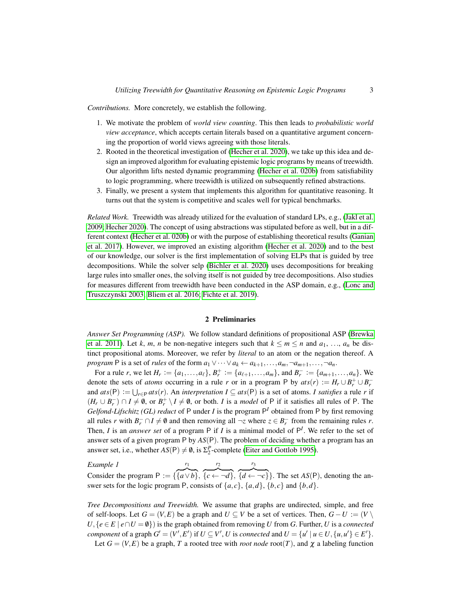*Contributions.* More concretely, we establish the following.

- 1. We motivate the problem of *world view counting*. This then leads to *probabilistic world view acceptance*, which accepts certain literals based on a quantitative argument concerning the proportion of world views agreeing with those literals.
- 2. Rooted in the theoretical investigation of [\(Hecher et al. 2020\)](#page-15-6), we take up this idea and design an improved algorithm for evaluating epistemic logic programs by means of treewidth. Our algorithm lifts nested dynamic programming [\(Hecher et al. 020b\)](#page-15-7) from satisfiability to logic programming, where treewidth is utilized on subsequently refined abstractions.
- 3. Finally, we present a system that implements this algorithm for quantitative reasoning. It turns out that the system is competitive and scales well for typical benchmarks.

*Related Work.* Treewidth was already utilized for the evaluation of standard LPs, e.g., [\(Jakl et al.](#page-15-8) [2009;](#page-15-8) [Hecher 2020\)](#page-15-9). The concept of using abstractions was stipulated before as well, but in a different context [\(Hecher et al. 020b\)](#page-15-7) or with the purpose of establishing theoretical results [\(Ganian](#page-15-10) [et al. 2017\)](#page-15-10). However, we improved an existing algorithm [\(Hecher et al. 2020\)](#page-15-6) and to the best of our knowledge, our solver is the first implementation of solving ELPs that is guided by tree decompositions. While the solver selp [\(Bichler et al. 2020\)](#page-14-3) uses decompositions for breaking large rules into smaller ones, the solving itself is not guided by tree decompositions. Also studies for measures different from treewidth have been conducted in the ASP domain, e.g., [\(Lonc and](#page-15-11) [Truszczynski 2003;](#page-15-11) [Bliem et al. 2016;](#page-14-5) [Fichte et al. 2019\)](#page-15-12).

## 2 Preliminaries

*Answer Set Programming (ASP).* We follow standard definitions of propositional ASP [\(Brewka](#page-14-0) [et al. 2011\)](#page-14-0). Let *k*, *m*, *n* be non-negative integers such that  $k \le m \le n$  and  $a_1, \ldots, a_n$  be distinct propositional atoms. Moreover, we refer by *literal* to an atom or the negation thereof. A *program* P is a set of *rules* of the form  $a_1 \vee \cdots \vee a_k \leftarrow a_{k+1}, \ldots, a_m, \neg a_{m+1}, \ldots, \neg a_n$ .

For a rule *r*, we let  $H_r := \{a_1, \ldots, a_\ell\}, B_r^+ := \{a_{\ell+1}, \ldots, a_m\}$ , and  $B_r^- := \{a_{m+1}, \ldots, a_n\}$ . We denote the sets of *atoms* occurring in a rule *r* or in a program P by  $ats(r) := H_r \cup B_r^+ \cup B_r^$ and  $ats(P) := \bigcup_{r \in P}ats(r)$ . An *interpretation*  $I \subseteq ats(P)$  is a set of atoms. *I satisfies* a rule *r* if  $(H_r \cup B_r^-) \cap I \neq \emptyset$ , or  $B_r^+ \setminus I \neq \emptyset$ , or both. *I* is a *model* of P if it satisfies all rules of P. The *Gelfond-Lifschitz* (*GL) reduct* of P under *I* is the program  $P<sup>I</sup>$  obtained from P by first removing all rules *r* with  $B_r^- \cap I \neq \emptyset$  and then removing all  $\neg z$  where  $z \in B_r^-$  from the remaining rules *r*. Then, *I* is an *answer set* of a program  $P$  if *I* is a minimal model of  $P<sup>I</sup>$ . We refer to the set of answer sets of a given program P by *AS*(P). The problem of deciding whether a program has an answer set, i.e., whether  $AS(P) \neq \emptyset$ , is  $\Sigma_2^P$ -complete [\(Eiter and Gottlob 1995\)](#page-14-2).

<span id="page-2-0"></span>*Example 1* Consider the program  $P := \{$ *r*1  $\{ \overline{a \vee b} \},\$ *r*2  $\overline{\{c \leftarrow \neg d\}},$ *r*3  $\overline{\{d \leftarrow \neg c\}}$ . The set  $AS(P)$ , denoting the answer sets for the logic program P, consists of  $\{a, c\}$ ,  $\{a, d\}$ ,  $\{b, c\}$  and  $\{b, d\}$ .

*Tree Decompositions and Treewidth.* We assume that graphs are undirected, simple, and free of self-loops. Let  $G = (V, E)$  be a graph and  $U \subseteq V$  be a set of vertices. Then,  $G - U := (V \setminus E)$  $U, \{e \in E \mid e \cap U = \emptyset\}$  is the graph obtained from removing *U* from *G*. Further, *U* is a *connected component* of a graph  $G' = (V', E')$  if  $U \subseteq V', U$  is *connected* and  $U = \{u' \mid u \in U, \{u, u'\} \in E'\}.$ 

Let  $G = (V, E)$  be a graph, *T* a rooted tree with *root node* root(*T*), and  $\chi$  a labeling function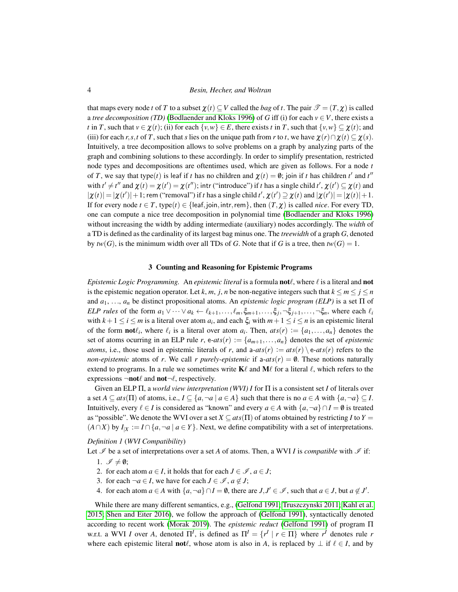that maps every node *t* of *T* to a subset  $\chi(t) \subset V$  called the *bag* of *t*. The pair  $\mathcal{T} = (T, \chi)$  is called a *tree decomposition (TD)* [\(Bodlaender and Kloks 1996\)](#page-14-6) of *G* iff (i) for each  $v \in V$ , there exists a *t* in *T*, such that  $v \in \chi(t)$ ; (ii) for each  $\{v, w\} \in E$ , there exists *t* in *T*, such that  $\{v, w\} \subseteq \chi(t)$ ; and (iii) for each *r*, *s*,*t* of *T*, such that *s* lies on the unique path from *r* to *t*, we have  $\chi(r) \cap \chi(t) \subseteq \chi(s)$ . Intuitively, a tree decomposition allows to solve problems on a graph by analyzing parts of the graph and combining solutions to these accordingly. In order to simplify presentation, restricted node types and decompositions are oftentimes used, which are given as follows. For a node *t* of *T*, we say that type(*t*) is leaf if *t* has no children and  $\chi(t) = \emptyset$ ; join if *t* has children *t'* and *t''* with  $t' \neq t''$  and  $\chi(t) = \chi(t') = \chi(t'')$ ; intr ("introduce") if *t* has a single child  $t'$ ,  $\chi(t') \subseteq \chi(t)$  and  $|\chi(t)| = |\chi(t')| + 1$ ; rem ("removal") if *t* has a single child  $t'$ ,  $\chi(t') \supseteq \chi(t)$  and  $|\chi(t')| = |\chi(t)| + 1$ . If for every node  $t \in T$ , type( $t$ )  $\in$  {leaf,join, intr, rem}, then  $(T, \chi)$  is called *nice*. For every TD, one can compute a nice tree decomposition in polynomial time [\(Bodlaender and Kloks 1996\)](#page-14-6) without increasing the width by adding intermediate (auxiliary) nodes accordingly. The *width* of a TD is defined as the cardinality of its largest bag minus one. The *treewidth* of a graph *G*, denoted by  $tw(G)$ , is the minimum width over all TDs of *G*. Note that if *G* is a tree, then  $tw(G) = 1$ .

#### 3 Counting and Reasoning for Epistemic Programs

*Epistemic Logic Programming.* An *epistemic literal* is a formula **not** $\ell$ , where  $\ell$  is a literal and **not** is the epistemic negation operator. Let *k*, *m*, *j*, *n* be non-negative integers such that  $k \le m \le j \le n$ and  $a_1, \ldots, a_n$  be distinct propositional atoms. An *epistemic logic program (ELP)* is a set  $\Pi$  of  $ELP$  *rules* of the form  $a_1 \vee \cdots \vee a_k \leftarrow \ell_{k+1}, \ldots, \ell_m, \xi_{m+1}, \ldots, \xi_j, \neg \xi_{j+1}, \ldots, \neg \xi_n$ , where each  $\ell_i$ with  $k+1 \le i \le m$  is a literal over atom  $a_i$ , and each  $\xi_i$  with  $m+1 \le i \le n$  is an epistemic literal of the form **not** $\ell_i$ , where  $\ell_i$  is a literal over atom  $a_i$ . Then,  $ats(r) := \{a_1, \ldots, a_n\}$  denotes the set of atoms ocurring in an ELP rule *r*, e-*ats*(*r*) :=  $\{a_{m+1},...,a_n\}$  denotes the set of *epistemic atoms*, i.e., those used in epistemic literals of *r*, and  $a\text{-}ats(r) := ats(r) \text{ } e\text{-}ats(r)$  refers to the *non-epistemic* atoms of *r*. We call *r purely-epistemic* if  $a\text{-}ats(r) = \emptyset$ . These notions naturally extend to programs. In a rule we sometimes write  $\mathbf{K}\ell$  and  $\mathbf{M}\ell$  for a literal  $\ell$ , which refers to the expressions  $\neg \textbf{not}\ell$  and  $\textbf{not}\neg \ell$ , respectively.

Given an ELP Π, a *world view interpretation (WVI) I* for Π is a consistent set *I* of literals over a set  $A \subseteq ats(\Pi)$  of atoms, i.e.,  $I \subseteq \{a, \neg a \mid a \in A\}$  such that there is no  $a \in A$  with  $\{a, \neg a\} \subseteq I$ . Intuitively, every  $\ell \in I$  is considered as "known" and every  $a \in A$  with  $\{a, \neg a\} \cap I = \emptyset$  is treated as "possible". We denote the WVI over a set  $X \subseteq ats(\Pi)$  of atoms obtained by restricting *I* to  $Y =$  $(A \cap X)$  by  $I_{|X} := I \cap \{a, \neg a \mid a \in Y\}$ . Next, we define compatibility with a set of interpretations.

#### <span id="page-3-0"></span>*Definition 1* (*WVI Compatibility*)

Let  $\mathcal I$  be a set of interpretations over a set *A* of atoms. Then, a WVI *I* is *compatible* with  $\mathcal I$  if:

- 1.  $\mathscr{I} \neq \emptyset$ ;
- 2. for each atom  $a \in I$ , it holds that for each  $J \in \mathcal{I}$ ,  $a \in J$ ;
- 3. for each  $\neg a \in I$ , we have for each  $J \in \mathcal{I}$ ,  $a \notin J$ ;
- 4. for each atom  $a \in A$  with  $\{a, \neg a\} \cap I = \emptyset$ , there are  $J, J' \in \mathcal{I}$ , such that  $a \in J$ , but  $a \notin J'$ .

While there are many different semantics, e.g., [\(Gelfond 1991;](#page-15-0) [Truszczynski 2011;](#page-15-1) [Kahl et al.](#page-15-2) [2015;](#page-15-2) [Shen and Eiter 2016\)](#page-15-3), we follow the approach of [\(Gelfond 1991\)](#page-15-0), syntactically denoted according to recent work [\(Morak 2019\)](#page-15-13). The *epistemic reduct* [\(Gelfond 1991\)](#page-15-0) of program Π w.r.t. a WVI *I* over *A*, denoted  $\Pi^I$ , is defined as  $\Pi^I = \{r^I \mid r \in \Pi\}$  where  $r^I$  denotes rule *r* where each epistemic literal **not** $\ell$ , whose atom is also in *A*, is replaced by  $\bot$  if  $\ell \in I$ , and by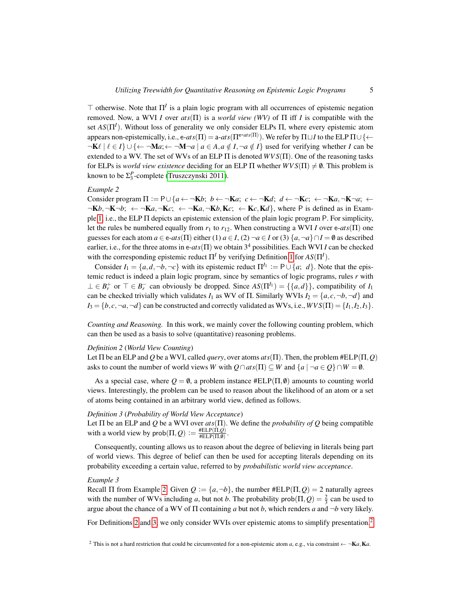$\top$  otherwise. Note that  $\Pi^I$  is a plain logic program with all occurrences of epistemic negation removed. Now, a WVI *I* over *ats*(Π) is a *world view (WV)* of Π iff *I* is compatible with the set *AS*(Π*<sup>I</sup>* ). Without loss of generality we only consider ELPs Π, where every epistemic atom appears non-epistemically, i.e., e- $ats(\Pi) = a -ats(\Pi^{e-ats(\Pi)})$ . We refer by  $\Pi \sqcup I$  to the ELP  $\Pi \cup \{\leftarrow$  $\neg K\ell \mid \ell \in I$   $\cup$  { $\leftarrow$   $\neg M\alpha$ ;  $\leftarrow$   $\neg M\neg a \mid a \in A$ ,  $a \notin I$ ,  $\neg a \notin I$ } used for verifying whether *I* can be extended to a WV. The set of WVs of an ELP  $\Pi$  is denoted  $WVS(\Pi)$ . One of the reasoning tasks for ELPs is *world view existence* deciding for an ELP  $\Pi$  whether  $WVS(\Pi) \neq \emptyset$ . This problem is known to be  $\Sigma_3^P$ -complete [\(Truszczynski 2011\)](#page-15-1).

# <span id="page-4-0"></span>*Example 2*

Consider program  $\Pi := P \cup \{a \leftarrow \neg \mathbf{K}b; \ b \leftarrow \neg \mathbf{K}a; \ c \leftarrow \neg \mathbf{K}d; \ d \leftarrow \neg \mathbf{K}c; \ \leftarrow \neg \mathbf{K}a, \neg \mathbf{K} \neg a; \ \leftarrow \neg \mathbf{K}a, \ \neg \mathbf{K} \neg a, \ \leftarrow \neg \mathbf{K}a, \ \neg \mathbf{K} \neg a, \ \leftarrow \neg \mathbf{K}a, \ \neg \mathbf{K} \neg a, \ \leftarrow \neg \mathbf{K}a, \ \neg \mathbf{K} \neg a, \ \$  $\neg$ K*b*, $\neg$ K $\neg$ *b*;  $\leftarrow$   $\neg$ K*a*, $\neg$ K*c*;  $\leftarrow$   $\neg$ K*a*, $\neg$ K*b*,K*c*;  $\leftarrow$  K*c*,K*d*}, where P is defined as in Example [1,](#page-2-0) i.e., the ELP Π depicts an epistemic extension of the plain logic program P. For simplicity, let the rules be numbered equally from  $r_1$  to  $r_{12}$ . When constructing a WVI *I* over e-*ats*( $\Pi$ ) one guesses for each atom  $a \in e$ - $ats(\Pi)$  either (1)  $a \in I$ , (2)  $\neg a \in I$  or (3)  $\{a, \neg a\} \cap I = \emptyset$  as described earlier, i.e., for the three atoms in e-*ats*(Π) we obtain 3<sup>4</sup> possibilities. Each WVI *I* can be checked with the corresponding epistemic reduct  $\Pi^I$  by verifying Definition [1](#page-3-0) for  $AS(\Pi^I)$ .

Consider  $I_1 = \{a, d, \neg b, \neg c\}$  with its epistemic reduct  $\Pi^{I_1} := \mathsf{P} \cup \{a; d\}$ . Note that the epistemic reduct is indeed a plain logic program, since by semantics of logic programs, rules *r* with  $\bot \in B_r^+$  or  $\top \in B_r^-$  can obviously be dropped. Since  $AS(\Pi^{I_1}) = \{\{a, d\}\}\)$ , compatibility of  $I_1$ can be checked trivially which validates  $I_1$  as WV of  $\Pi$ . Similarly WVIs  $I_2 = \{a, c, \neg b, \neg d\}$  and  $I_3 = \{b, c, \neg a, \neg d\}$  can be constructed and correctly validated as WVs, i.e.,  $WVS(\Pi) = \{I_1, I_2, I_3\}.$ 

*Counting and Reasoning.* In this work, we mainly cover the following counting problem, which can then be used as a basis to solve (quantitative) reasoning problems.

# <span id="page-4-1"></span>*Definition 2* (*World View Counting*)

Let Π be an ELP and *Q* be a WVI, called *query*, over atoms *ats*(Π). Then, the problem #ELP(Π,*Q*) asks to count the number of world views *W* with  $Q \cap \text{ats}(\Pi) \subseteq W$  and  $\{a \mid \neg a \in Q\} \cap W = \emptyset$ .

As a special case, where  $Q = \emptyset$ , a problem instance  $\#ELP(\Pi, \emptyset)$  amounts to counting world views. Interestingly, the problem can be used to reason about the likelihood of an atom or a set of atoms being contained in an arbitrary world view, defined as follows.

## <span id="page-4-2"></span>*Definition 3* (*Probability of World View Acceptance*)

Let Π be an ELP and *Q* be a WVI over *ats*(Π). We define the *probability of Q* being compatible with a world view by  $prob(\Pi, Q) := \frac{HELP(\Pi, Q)}{HELP(\Pi, Q)}$  $HELP(\Pi, Q)$ <br> $HELP(\Pi, \emptyset)$ .

Consequently, counting allows us to reason about the degree of believing in literals being part of world views. This degree of belief can then be used for accepting literals depending on its probability exceeding a certain value, referred to by *probabilistic world view acceptance*.

# *Example 3*

Recall  $\Pi$  from Example [2.](#page-4-0) Given  $Q := \{a, \neg b\}$ , the number  $\#ELP(\Pi, Q) = 2$  naturally agrees with the number of WVs including *a*, but not *b*. The probability  $prob(\Pi, Q) = \frac{2}{3}$  can be used to argue about the chance of a WV of Π containing *a* but not *b*, which renders *a* and ¬*b* very likely.

For Definitions [2](#page-4-1) and [3,](#page-4-2) we only consider WVIs over epistemic atoms to simplify presentation.<sup>[2](#page-4-3)</sup>

<span id="page-4-3"></span><sup>&</sup>lt;sup>2</sup> This is not a hard restriction that could be circumvented for a non-epistemic atom *a*, e.g., via constraint  $\leftarrow \neg \mathbf{K}a$ ,  $\mathbf{K}a$ .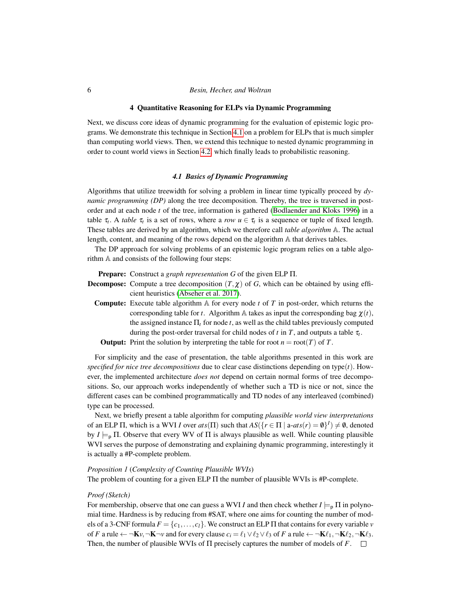#### 4 Quantitative Reasoning for ELPs via Dynamic Programming

Next, we discuss core ideas of dynamic programming for the evaluation of epistemic logic programs. We demonstrate this technique in Section [4.1](#page-5-0) on a problem for ELPs that is much simpler than computing world views. Then, we extend this technique to nested dynamic programming in order to count world views in Section [4.2,](#page-8-0) which finally leads to probabilistic reasoning.

# *4.1 Basics of Dynamic Programming*

<span id="page-5-0"></span>Algorithms that utilize treewidth for solving a problem in linear time typically proceed by *dynamic programming (DP)* along the tree decomposition. Thereby, the tree is traversed in postorder and at each node *t* of the tree, information is gathered [\(Bodlaender and Kloks 1996\)](#page-14-6) in a table  $\tau_t$ . A *table*  $\tau_t$  is a set of rows, where a *row*  $u \in \tau_t$  is a sequence or tuple of fixed length. These tables are derived by an algorithm, which we therefore call *table algorithm* A. The actual length, content, and meaning of the rows depend on the algorithm A that derives tables.

The DP approach for solving problems of an epistemic logic program relies on a table algorithm A and consists of the following four steps:

Prepare: Construct a *graph representation G* of the given ELP Π.

- **Decompose:** Compute a tree decomposition  $(T, \chi)$  of *G*, which can be obtained by using efficient heuristics [\(Abseher et al. 2017\)](#page-14-7).
	- Compute: Execute table algorithm A for every node *t* of *T* in post-order, which returns the corresponding table for *t*. Algorithm A takes as input the corresponding bag  $\chi(t)$ , the assigned instance  $\Pi_t$  for node *t*, as well as the child tables previously computed during the post-order traversal for child nodes of *t* in *T*, and outputs a table τ*<sup>t</sup>* .

**Output:** Print the solution by interpreting the table for root  $n = \text{root}(T)$  of T.

For simplicity and the ease of presentation, the table algorithms presented in this work are *specified for nice tree decompositions* due to clear case distinctions depending on type $(t)$ . However, the implemented architecture *does not* depend on certain normal forms of tree decompositions. So, our approach works independently of whether such a TD is nice or not, since the different cases can be combined programmatically and TD nodes of any interleaved (combined) type can be processed.

Next, we briefly present a table algorithm for computing *plausible world view interpretations* of an ELP  $\Pi$ , which is a WVI *I* over  $ats(\Pi)$  such that  $AS({r \in \Pi | a\text{-}ats(r) = \emptyset}^I) \neq \emptyset$ , denoted by  $I \models_{\mathsf{P}} \Pi$ . Observe that every WV of  $\Pi$  is always plausible as well. While counting plausible WVI serves the purpose of demonstrating and explaining dynamic programming, interestingly it is actually a #P-complete problem.

# *Proposition 1* (*Complexity of Counting Plausible WVIs*)

The problem of counting for a given ELP  $\Pi$  the number of plausible WVIs is #P-complete.

## *Proof (Sketch)*

For membership, observe that one can guess a WVI *I* and then check whether  $I \models_{p} \Pi$  in polynomial time. Hardness is by reducing from #SAT, where one aims for counting the number of models of a 3-CNF formula  $F = \{c_1, \ldots, c_l\}$ . We construct an ELP  $\Pi$  that contains for every variable *v* of *F* a rule  $\leftarrow \neg \mathbf{K} v$ ,  $\neg \mathbf{K} \neg v$  and for every clause  $c_i = \ell_1 \vee \ell_2 \vee \ell_3$  of *F* a rule  $\leftarrow \neg \mathbf{K} \ell_1, \neg \mathbf{K} \ell_2, \neg \mathbf{K} \ell_3$ . Then, the number of plausible WVIs of  $\Pi$  precisely captures the number of models of  $F$ .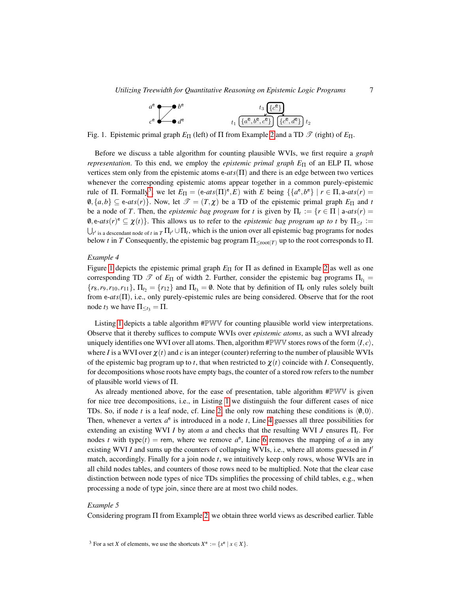| $a^e \rightarrow b^e$                | $t_3\left[\overline{\{c^e\}}\right]$                                                                                                      |
|--------------------------------------|-------------------------------------------------------------------------------------------------------------------------------------------|
| $c^e$ $\overline{\phantom{a}}$ $d^e$ | $t_1\left(\overline{\{a^{\mathsf{e}},b^{\mathsf{e}},c^{\mathsf{e}}\}}\right)\left(\overline{\{c^{\mathsf{e}},d^{\mathsf{e}}\}}\right)t_2$ |

<span id="page-6-1"></span>Fig. 1. Epistemic primal graph  $E_\Pi$  (left) of Π from Example [2](#page-4-0) and a TD  $\mathcal T$  (right) of  $E_\Pi$ .

Before we discuss a table algorithm for counting plausible WVIs, we first require a *graph representation*. To this end, we employ the *epistemic primal graph E*<sup>Π</sup> of an ELP Π, whose vertices stem only from the epistemic atoms e-*ats*(Π) and there is an edge between two vertices whenever the corresponding epistemic atoms appear together in a common purely-epistemic rule of  $\Pi$ . Formally<sup>[3](#page-6-0)</sup>, we let  $E_{\Pi} = (e\text{-}ats(\Pi)^{e}, E)$  with  $E$  being  $\{\{a^{e}, b^{e}\} \mid r \in \Pi, a\text{-}ats(r) =$  $\{0, \{a,b\} \subseteq \text{e-ats}(r)\}\$ . Now, let  $\mathcal{T} = (T,\chi)$  be a TD of the epistemic primal graph  $E_{\Pi}$  and *t* be a node of *T*. Then, the *epistemic bag program* for *t* is given by  $\Pi_t := \{r \in \Pi \mid a\text{-}ats(r) = 0\}$  $\emptyset$ , e-*ats*(*r*)<sup>e</sup>  $\subseteq \chi(t)$ . This allows us to refer to the *epistemic bag program up to t* by  $\Pi_{\leq t}$  :=  $\bigcup_{t'}$  is a descendant node of *t* in  $T \prod_{t'} \cup \prod_t$ , which is the union over all epistemic bag programs for nodes below *t* in *T* Consequently, the epistemic bag program  $\Pi_{\leq root(T)}$  up to the root corresponds to  $\Pi$ .

# <span id="page-6-2"></span>*Example 4*

Figure [1](#page-6-1) depicts the epistemic primal graph  $E_{\Pi}$  for  $\Pi$  as defined in Example [2](#page-4-0) as well as one corresponding TD  $\mathcal{T}$  of  $E_{\Pi}$  of width 2. Further, consider the epistemic bag programs  $\Pi_{t_1} =$  ${r_8, r_9, r_{10}, r_{11}}, \Pi_{t_2} = {r_{12}}$  and  $\Pi_{t_3} = \emptyset$ . Note that by definition of  $\Pi_t$  only rules solely built from e-*ats*(Π), i.e., only purely-epistemic rules are being considered. Observe that for the root node  $t_3$  we have  $\Pi_{\leq t_3} = \Pi$ .

Listing [1](#page-7-0) depicts a table algorithm #PWV for counting plausible world view interpretations. Observe that it thereby suffices to compute WVIs over *epistemic atoms*, as such a WVI already uniquely identifies one WVI over all atoms. Then, algorithm  $\#PWW$  stores rows of the form  $\langle I, c \rangle$ , where *I* is a WVI over  $\chi(t)$  and *c* is an integer (counter) referring to the number of plausible WVIs of the epistemic bag program up to *t*, that when restricted to  $\chi(t)$  coincide with *I*. Consequently, for decompositions whose roots have empty bags, the counter of a stored row refers to the number of plausible world views of Π.

As already mentioned above, for the ease of presentation, table algorithm #PWV is given for nice tree decompositions, i.e., in Listing [1](#page-7-0) we distinguish the four different cases of nice TDs. So, if node *t* is a leaf node, cf. Line [2,](#page-7-1) the only row matching these conditions is  $\langle 0,0 \rangle$ . Then, whenever a vertex  $a^e$  is introduced in a node  $t$ , Line [4](#page-7-2) guesses all three possibilities for extending an existing WVI *I* by atom *a* and checks that the resulting WVI *J* ensures Π*<sup>t</sup>* . For nodes *t* with type(*t*) = rem, where we remove  $a^e$ , Line [6](#page-7-3) removes the mapping of *a* in any existing WVI *I* and sums up the counters of collapsing WVIs, i.e., where all atoms guessed in *I'* match, accordingly. Finally for a join node *t*, we intuitively keep only rows, whose WVIs are in all child nodes tables, and counters of those rows need to be multiplied. Note that the clear case distinction between node types of nice TDs simplifies the processing of child tables, e.g., when processing a node of type join, since there are at most two child nodes.

#### <span id="page-6-3"></span>*Example 5*

Considering program Π from Example [2,](#page-4-0) we obtain three world views as described earlier. Table

<span id="page-6-0"></span><sup>&</sup>lt;sup>3</sup> For a set *X* of elements, we use the shortcuts  $X^e := \{x^e | x \in X\}.$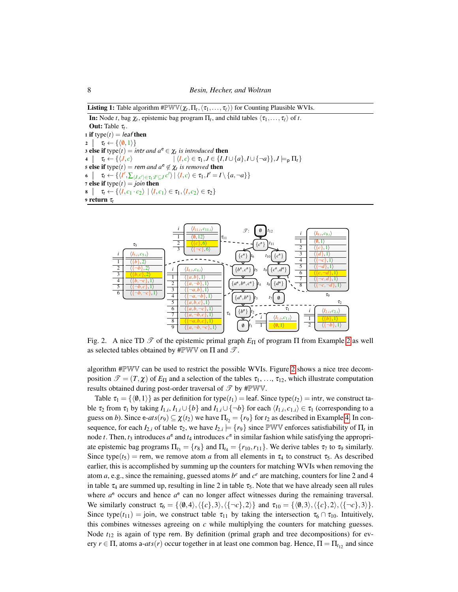**Listing 1:** Table algorithm  $\# \mathbb{P} \mathbb{W} \mathbb{V}(\chi_t, \Pi_t, \langle \tau_1, \ldots, \tau_\ell \rangle)$  for Counting Plausible WVIs.

<span id="page-7-2"></span><span id="page-7-1"></span>**In:** Node *t*, bag  $\chi_t$ , epistemic bag program  $\Pi_t$ , and child tables  $\langle \tau_1, \ldots, \tau_\ell \rangle$  of *t*. **Out:** Table  $\tau_t$ . 1 if  $type(t) = leaf$  then 2  $\tau_t \leftarrow {\langle \langle 0,1 \rangle \rangle}$ 3 else if  $type(t) = intr$  *and*  $a^e \in \chi_t$  *is introduced* then  $\tau_t \leftarrow \{\langle J, c \rangle \quad | \langle I, c \rangle \in \tau_1, J \in \{I, I \cup \{a\}, I \cup \{\neg a\}\}, J \models_p \Pi_t\}$ 5 else if  $type(t) = rem$  *and*  $a^e \notin \chi_t$  *is removed* then  $\sigma \left[ \quad \tau_t \leftarrow \{ \langle I', \sum_{\langle J, c' \rangle \in \tau_1 : I' \subseteq J} c' \rangle \mid \langle I, c \rangle \in \tau_1, I' = I \setminus \{a, \neg a\} \} \right]$ 7 else if  $type(t) = join$  then  $\mathbf{s} \mid \tau_t \leftarrow \{ \langle I, c_1 \cdot c_2 \rangle \mid \langle I, c_1 \rangle \in \tau_1, \langle I, c_2 \rangle \in \tau_2 \}$ <sup>9</sup> return τ*t*

<span id="page-7-3"></span><span id="page-7-0"></span>

<span id="page-7-4"></span>Fig. [2](#page-4-0). A nice TD  $\mathcal{T}$  of the epistemic primal graph  $E_{\Pi}$  of program  $\Pi$  from Example 2 as well as selected tables obtained by #PWV on  $\Pi$  and  $\mathscr{T}$ .

algorithm #PWV can be used to restrict the possible WVIs. Figure [2](#page-7-4) shows a nice tree decomposition  $\mathcal{T} = (T, \chi)$  of  $E_{\Pi}$  and a selection of the tables  $\tau_1, \ldots, \tau_{12}$ , which illustrate computation results obtained during post-order traversal of  $\mathscr{T}$  by #PWV.

Table  $\tau_1 = \{ \langle \emptyset, 1 \rangle \}$  as per definition for type( $t_1$ ) = leaf. Since type( $t_2$ ) = intr, we construct table  $\tau_2$  from  $\tau_1$  by taking  $I_{1,i}, I_{1,i} \cup \{b\}$  and  $I_{1,i} \cup \{\neg b\}$  for each  $\langle I_{1,i}, c_{1,i} \rangle \in \tau_1$  (corresponding to a guess on *b*). Since e-*ats*(*r*<sub>9</sub>)  $\subseteq \chi(t_2)$  we have  $\Pi_{t_2} = \{r_9\}$  for  $t_2$  as described in Example [4.](#page-6-2) In consequence, for each  $I_{2,i}$  of table  $\tau_2$ , we have  $I_{2,i} \models \{r_9\}$  since PWV enforces satisfiability of  $\Pi_t$  in node *t*. Then,  $t_3$  introduces  $a^e$  and  $t_4$  introduces  $c^e$  in similar fashion while satisfying the appropriate epistemic bag programs  $\Pi_{t_3} = \{r_8\}$  and  $\Pi_{t_4} = \{r_{10}, r_{11}\}$ . We derive tables  $\tau_7$  to  $\tau_9$  similarly. Since type( $t_5$ ) = rem, we remove atom *a* from all elements in  $\tau_4$  to construct  $\tau_5$ . As described earlier, this is accomplished by summing up the counters for matching WVIs when removing the atom  $a$ , e.g., since the remaining, guessed atoms  $b^e$  and  $c^e$  are matching, counters for line 2 and 4 in table  $\tau_4$  are summed up, resulting in line 2 in table  $\tau_5$ . Note that we have already seen all rules where  $a^e$  occurs and hence  $a^e$  can no longer affect witnesses during the remaining traversal. We similarly construct  $\tau_6 = {\langle \langle \emptyset,4\rangle, \langle \{c\},3\rangle, \langle \{-c\},2\rangle \}}$  and  $\tau_{10} = {\langle \langle \emptyset,3\rangle, \langle \{c\},2\rangle, \langle \{-c\},3\rangle \}}$ . Since type( $t_{11}$ ) = join, we construct table  $\tau_{11}$  by taking the intersection  $\tau_6 \cap \tau_{10}$ . Intuitively, this combines witnesses agreeing on *c* while multiplying the counters for matching guesses. Node  $t_{12}$  is again of type rem. By definition (primal graph and tree decompositions) for every  $r \in \Pi$ , atoms a- $ats(r)$  occur together in at least one common bag. Hence,  $\Pi = \Pi_{t_{12}}$  and since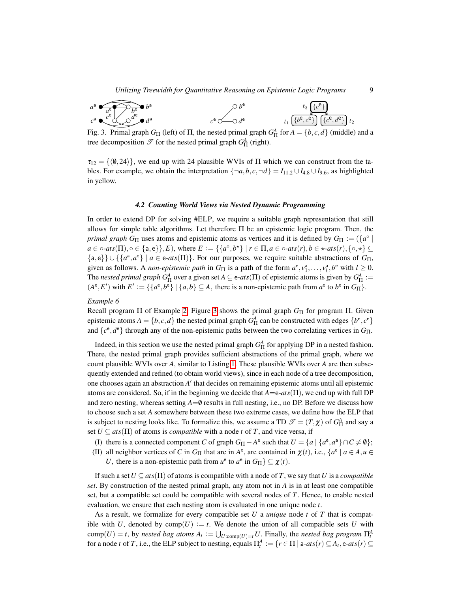*Utilizing Treewidth for Quantitative Reasoning on Epistemic Logic Programs* 9

$$
a^{a} \underbrace{f_{a}e^{b}}_{c^{a}} \underbrace{f_{b}e^{c}}_{d^{a}} b^{a}
$$
\n
$$
b^{b} \underbrace{f_{3} \{c^{e}\}}_{d^{e}} d^{a}
$$
\n
$$
c^{e} \longrightarrow d^{e}
$$
\n
$$
t_{1} \underbrace{f_{b}e, c^{e}\}}_{d^{e} \{c^{e}, d^{e}\}} d_{2}
$$

<span id="page-8-1"></span>Fig. 3. Primal graph  $G_{\Pi}$  (left) of  $\Pi$ , the nested primal graph  $G_{\Pi}^A$  for  $A = \{b, c, d\}$  (middle) and a tree decomposition  $\mathscr{T}$  for the nested primal graph  $G_{\Pi}^A$  (right).

 $\tau_{12} = {\langle \emptyset, 24 \rangle}$ , we end up with 24 plausible WVIs of  $\Pi$  which we can construct from the tables. For example, we obtain the interpretation  $\{\neg a, b, c, \neg d\} = I_{11.2} \cup I_{4.8} \cup I_{9.6}$ , as highlighted in yellow.

#### *4.2 Counting World Views via Nested Dynamic Programming*

<span id="page-8-0"></span>In order to extend DP for solving #ELP, we require a suitable graph representation that still allows for simple table algorithms. Let therefore  $\Pi$  be an epistemic logic program. Then, the *primal graph G*<sub>Π</sub> uses atoms and epistemic atoms as vertices and it is defined by  $G_{\Pi} := (\lbrace a^{\circ} \mid a \rbrace)$ *a* ∈ ◦-*ats*( $\Pi$ ), ◦ ∈ {**a**, **e**}},  $E$ ), where  $E := \{ \{a^{\circ}, b^{\star} \} | r \in \Pi, a \in \circ -ats(r), b \in \star -ats(r), \{\circ, \star\} \subseteq$  ${a, e} \cup \{ {a^a, a^e} \mid a \in e\text{-}ats(\Pi) \}.$  For our purposes, we require suitable abstractions of  $G_{\Pi}$ , given as follows. A *non-epistemic path* in  $G_{\Pi}$  is a path of the form  $a^e, v_1^a, \ldots, v_l^a, b^e$  with  $l \ge 0$ . The *nested primal graph G*<sup>A</sup><sub> $\Pi$ </sub> over a given set  $A \subseteq e$ - $ats(\Pi)$  of epistemic atoms is given by  $G^A_{\Pi} :=$  $(A^e, E')$  with  $E' := \{\{a^e, b^e\} \mid \{a, b\} \subseteq A$ , there is a non-epistemic path from  $a^e$  to  $b^e$  in  $G_{\Pi}\}.$ 

#### *Example 6*

Recall program Π of Example [2.](#page-4-0) Figure [3](#page-8-1) shows the primal graph  $G<sub>Π</sub>$  for program Π. Given epistemic atoms  $A = \{b, c, d\}$  the nested primal graph  $G_{\Pi}^A$  can be constructed with edges  $\{b^e, c^e\}$ and  $\{c^e, d^e\}$  through any of the non-epistemic paths between the two correlating vertices in  $G_{\Pi}$ .

Indeed, in this section we use the nested primal graph  $G_{\Pi}^A$  for applying DP in a nested fashion. There, the nested primal graph provides sufficient abstractions of the primal graph, where we count plausible WVIs over *A*, similar to Listing [1.](#page-7-0) These plausible WVIs over *A* are then subsequently extended and refined (to obtain world views), since in each node of a tree decomposition, one chooses again an abstraction *A'* that decides on remaining epistemic atoms until all epistemic atoms are considered. So, if in the beginning we decide that  $A = e^{-ats}(\Pi)$ , we end up with full DP and zero nesting, whereas setting  $A=0$  results in full nesting, i.e., no DP. Before we discuss how to choose such a set *A* somewhere between these two extreme cases, we define how the ELP that is subject to nesting looks like. To formalize this, we assume a TD  $\mathscr{T} = (T, \chi)$  of  $G_{\Pi}^A$  and say a set  $U \subseteq \text{ats}(\Pi)$  of atoms is *compatible* with a node *t* of *T*, and vice versa, if

- (I) there is a connected component *C* of graph  $G_{\Pi} A^e$  such that  $U = \{a \mid \{a^e, a^a\} \cap C \neq \emptyset\};$
- (II) all neighbor vertices of *C* in  $G_{\Pi}$  that are in  $A^e$ , are contained in  $\chi(t)$ , i.e.,  $\{a^e \mid a \in A, u \in A\}$ 
	- *U*, there is a non-epistemic path from  $u^e$  to  $a^e$  in  $G_{\Pi}$ }  $\subseteq \chi(t)$ .

If such a set  $U \subseteq \text{ats}(\Pi)$  of atoms is compatible with a node of *T*, we say that *U* is a *compatible set*. By construction of the nested primal graph, any atom not in *A* is in at least one compatible set, but a compatible set could be compatible with several nodes of *T*. Hence, to enable nested evaluation, we ensure that each nesting atom is evaluated in one unique node *t*.

As a result, we formalize for every compatible set *U* a *unique* node *t* of *T* that is compatible with *U*, denoted by  $comp(U) := t$ . We denote the union of all compatible sets *U* with  $\text{comp}(U) = t$ , by *nested bag atoms*  $A_t := \bigcup_{U:\text{comp}(U)=t} U$ . Finally, the *nested bag program*  $\Pi_t^A$ for a node *t* of *T*, i.e., the ELP subject to nesting, equals  $\Pi_t^A := \{r \in \Pi \mid \text{a-}ats(r) \subseteq A_t, \text{e-}ats(r) \subseteq$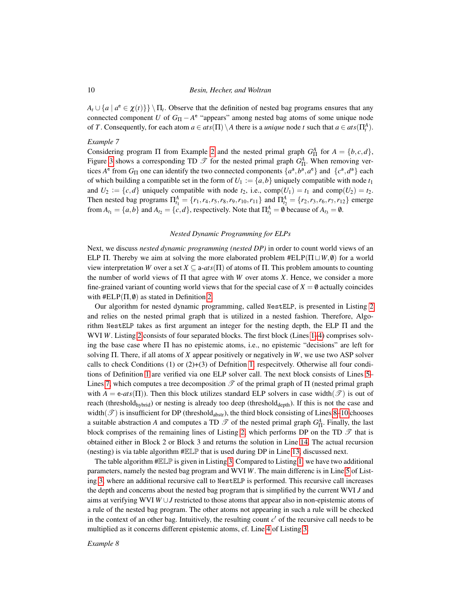$A_t \cup \{a \mid a^e \in \chi(t)\}\ \rangle \prod_t$ . Observe that the definition of nested bag programs ensures that any connected component *U* of  $G_{\Pi} - A^e$  "appears" among nested bag atoms of some unique node of *T*. Consequently, for each atom  $a \in ats(\Pi) \setminus A$  there is a *unique* node *t* such that  $a \in ats(\Pi_t^A)$ .

#### <span id="page-9-0"></span>*Example 7*

Considering program  $\Pi$  from Example [2](#page-4-0) and the nested primal graph  $G_{\Pi}^A$  for  $A = \{b, c, d\}$ , Figure [3](#page-8-1) shows a corresponding TD  $\mathcal{T}$  for the nested primal graph  $G_{\Pi}^A$ . When removing vertices  $A^e$  from  $G_{\Pi}$  one can identify the two connected components  $\{a^a, b^a, a^e\}$  and  $\{c^a, d^a\}$  each of which building a compatible set in the form of  $U_1 := \{a, b\}$  uniquely compatible with node  $t_1$ and  $U_2 := \{c, d\}$  uniquely compatible with node  $t_2$ , i.e.,  $\text{comp}(U_1) = t_1$  and  $\text{comp}(U_2) = t_2$ . Then nested bag programs  $\Pi_{t_1}^A = \{r_1, r_4, r_5, r_8, r_9, r_{10}, r_{11}\}$  and  $\Pi_{t_2}^A = \{r_2, r_3, r_6, r_7, r_{12}\}$  emerge from  $A_{t_1} = \{a,b\}$  and  $A_{t_2} = \{c,d\}$ , respectively. Note that  $\Pi_{t_3}^A = \emptyset$  because of  $A_{t_3} = \emptyset$ .

# *Nested Dynamic Programming for ELPs*

Next, we discuss *nested dynamic programming (nested DP)* in order to count world views of an ELP Π. Thereby we aim at solving the more elaborated problem  $\#ELP(\Pi \sqcup W, \emptyset)$  for a world view interpretation *W* over a set  $X \subseteq a$ -*ats*( $\Pi$ ) of atoms of  $\Pi$ . This problem amounts to counting the number of world views of  $\Pi$  that agree with *W* over atoms *X*. Hence, we consider a more fine-grained variant of counting world views that for the special case of  $X = \emptyset$  actually coincides with  $\#ELP(\Pi, \emptyset)$  as stated in Definition [2.](#page-4-1)

Our algorithm for nested dynamic programming, called NestELP, is presented in Listing [2](#page-10-0) and relies on the nested primal graph that is utilized in a nested fashion. Therefore, Algorithm NestELP takes as first argument an integer for the nesting depth, the ELP  $\Pi$  and the WVI *W*. Listing [2](#page-10-0) consists of four separated blocks. The first block (Lines [1–](#page-10-1)[4\)](#page-10-2) comprises solving the base case where Π has no epistemic atoms, i.e., no epistemic "decisions" are left for solving Π. There, if all atoms of *X* appear positively or negatively in *W*, we use two ASP solver calls to check Conditions (1) or  $(2)+(3)$  of Definition [1,](#page-3-0) respecitvely. Otherwise all four conditions of Definition [1](#page-3-0) are verified via one ELP solver call. The next block consists of Lines [5–](#page-10-3) Lines [7,](#page-10-4) which computes a tree decomposition  $\mathscr T$  of the primal graph of  $\Pi$  (nested primal graph with  $A = e^{-ats}(\Pi)$ ). Then this block utilizes standard ELP solvers in case width $(\mathcal{T})$  is out of reach (threshold $_{\text{hybrid}}$ ) or nesting is already too deep (threshold $_{\text{depth}}$ ). If this is not the case and width( $\mathcal{T}$ ) is insufficient for DP (threshold<sub>abstr</sub>), the third block consisting of Lines [8–](#page-10-5)[10](#page-10-6) chooses a suitable abstraction *A* and computes a TD  $\mathscr T$  of the nested primal graph  $G^A_{\Pi}$ . Finally, the last block comprises of the remaining lines of Listing [2,](#page-10-0) which performs DP on the TD  $\mathscr T$  that is obtained either in Block 2 or Block 3 and returns the solution in Line [14.](#page-10-7) The actual recursion (nesting) is via table algorithm  $\#E\mathbb{L}\mathbb{P}$  that is used during DP in Line [13,](#page-10-8) discussed next.

The table algorithm  $\# \mathbb{RLP}$  is given in Listing [3.](#page-11-0) Compared to Listing [1,](#page-7-0) we have two additional parameters, namely the nested bag program and WVI *W*. The main differenc is in Line [5](#page-11-1) of Listing [3,](#page-11-0) where an additional recursive call to NestELP is performed. This recursive call increases the depth and concerns about the nested bag program that is simplified by the current WVI *J* and aims at verifying WVI *W* ∪*J* restricted to those atoms that appear also in non-epistemic atoms of a rule of the nested bag program. The other atoms not appearing in such a rule will be checked in the context of an other bag. Intuitively, the resulting count  $c'$  of the recursive call needs to be multiplied as it concerns different epistemic atoms, cf. Line [4](#page-11-2) of Listing [3.](#page-11-0)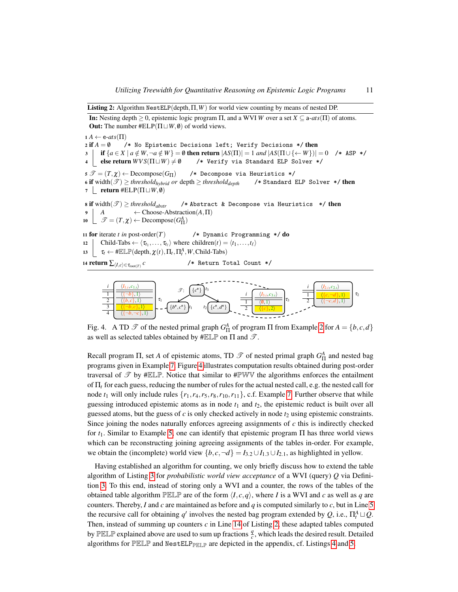Listing 2: Algorithm NestELP(depth,  $\Pi$ ,  $W$ ) for world view counting by means of nested DP.

<span id="page-10-10"></span><span id="page-10-5"></span><span id="page-10-4"></span><span id="page-10-3"></span><span id="page-10-2"></span><span id="page-10-1"></span>In: Nesting depth  $\geq 0$ , epistemic logic program  $\Pi$ , and a WVI *W* over a set  $X \subseteq a$ -*ats*( $\Pi$ ) of atoms. **Out:** The number  $\#ELP(\Pi \sqcup W, \emptyset)$  of world views.  $1 A \leftarrow e - ats(\Pi)$ <br>  $2 \text{ if } A = \emptyset$ /\* No Epistemic Decisions left; Verify Decisions \*/ then 3 if  $\{a \in X \mid a \notin W, \neg a \notin W\} = \emptyset$  then return  $|AS(\Pi)| = 1$  *and*  $|AS(\Pi \cup {\iff W\})| = 0$  /\* ASP \*/<br>4 else return  $WVS(\Pi \sqcup W) \neq \emptyset$  /\* Verify via Standard ELP Solver \*/ /\* Verify via Standard ELP Solver \*/  $5 \mathcal{T} = (T, \chi) \leftarrow \text{Decompose}(G_{\Pi})$  /\* Decompose via Heuristics \*/<br>6 if width( $\mathcal{T}$ ) > threshold<sub>hybrid</sub> or depth > threshold<sub>dept</sub> /\* Standard ELP Solver \*/ then 6 if width $(\mathcal{T}) \geq$  *threshold*<sub>*hybrid*</sub> *or* depth  $\geq$  *threshold*<sub>*depth*</sub> 7 **return** #ELP( $\Pi \sqcup W, \emptyset$ ) 8 if width $(\mathcal{T}) \geq$  *threshold*<sub>abstr</sub> /\* Abstract & Decompose via Heuristics \*/ then <sup>9</sup> *A* ← Choose-Abstraction(*A*,Π) 10  $\Box$   $\mathscr{T} = (T, \chi) \leftarrow \text{Decompose}(G_{\Pi}^A)$ <sup>11</sup> for iterate *t in* post-order(*T*) /\* Dynamic Programming \*/ do 12 **Child-Tabs**  $\leftarrow \langle \tau_{t_1}, \ldots, \tau_{t_\ell} \rangle$  where children $(t) = \langle t_1, \ldots, t_\ell \rangle$ 13  $\left[ \tau_t \leftarrow \text{HELP}(\text{depth}, \chi(t), \Pi_t, \Pi_t^A, W, \text{Child-Tabs}) \right]$ 14 **return**  $\sum_{\langle I,c\rangle \in \tau_{\text{root}(T)}} c$ *c* /\* Return Total Count \*/

<span id="page-10-11"></span><span id="page-10-8"></span><span id="page-10-7"></span><span id="page-10-6"></span><span id="page-10-0"></span>

<span id="page-10-9"></span>Fig. 4. A TD  $\mathcal{T}$  of the nested primal graph  $G_{\Pi}^A$  of program  $\Pi$  from Example [2](#page-4-0) for  $A = \{b, c, d\}$ as well as selected tables obtained by #ELP on  $\Pi$  and  $\mathscr{T}$ .

Recall program  $\Pi$ , set *A* of epistemic atoms,  $TD$   $\mathcal{T}$  of nested primal graph  $G_{\Pi}^A$  and nested bag programs given in Example [7.](#page-9-0) Figure [4](#page-10-9) illustrates computation results obtained during post-order traversal of  $\mathcal{T}$  by #ELP. Notice that similar to #PWV the algorithms enforces the entailment of Π*<sup>t</sup>* for each guess, reducing the number of rules for the actual nested call, e.g. the nested call for node  $t_1$  will only include rules  $\{r_1, r_4, r_5, r_8, r_{10}, r_{11}\}$ , c.f. Example [7.](#page-9-0) Further observe that while guessing introduced epistemic atoms as in node  $t_1$  and  $t_2$ , the epistemic reduct is built over all guessed atoms, but the guess of *c* is only checked actively in node  $t_2$  using epistemic constraints. Since joining the nodes naturally enforces agreeing assignments of *c* this is indirectly checked for *t*1. Similar to Example [5,](#page-6-3) one can identify that epistemic program Π has three world views which can be reconstructing joining agreeing assignments of the tables in-order. For example, we obtain the (incomplete) world view  $\{b, c, \neg d\} = I_{3,2} \cup I_{1,3} \cup I_{2,1}$ , as highlighted in yellow.

Having established an algorithm for counting, we only briefly discuss how to extend the table algorithm of Listing [3](#page-11-0) for *probabilistic world view acceptance* of a WVI (query) *Q* via Definition [3.](#page-4-2) To this end, instead of storing only a WVI and a counter, the rows of the tables of the obtained table algorithm PELP are of the form  $\langle I, c, q \rangle$ , where *I* is a WVI and *c* as well as *q* are counters. Thereby, *I* and *c* are maintained as before and *q* is computed similarly to *c*, but in Line [5](#page-11-1) the recursive call for obtaining  $q'$  involves the nested bag program extended by  $Q$ , i.e.,  $\Pi_t^A \sqcup Q$ . Then, instead of summing up counters *c* in Line [14](#page-10-7) of Listing [2,](#page-10-0) these adapted tables computed by  $\mathbb{P}\mathbb{E}\mathbb{L}\mathbb{P}$  explained above are used to sum up fractions  $\frac{q}{c}$ , which leads the desired result. Detailed algorithms for  $\mathbb{P}\mathbb{E}\mathbb{L}\mathbb{P}$  and NestELP $_{\mathbb{P}\mathbb{E}\mathbb{L}\mathbb{P}}$  are depicted in the appendix, cf. Listings [4](#page-16-0) and [5.](#page-16-1)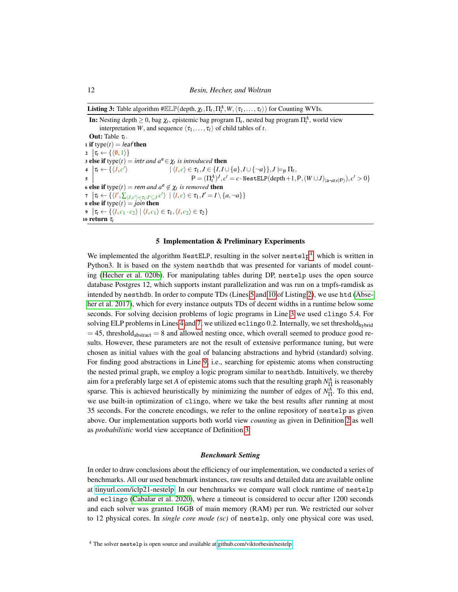**Listing 3:** Table algorithm  $\# \mathbb{ELP}(\text{depth}, \chi_t, \Pi_t, \Pi_t^A, W, \langle \tau_1, \ldots, \tau_\ell \rangle)$  for Counting WVIs.

<span id="page-11-2"></span><span id="page-11-1"></span>**In:** Nesting depth  $\geq 0$ , bag  $\chi_t$ , epistemic bag program  $\Pi_t$ , nested bag program  $\Pi_t^A$ , world view interpretation *W*, and sequence  $\langle \tau_1, \ldots, \tau_\ell \rangle$  of child tables of *t*. **Out:** Table  $\tau_t$ . 1 if type $(t) =$  *leaf* then 2  $|\tau_t \leftarrow \{\langle \emptyset, 1 \rangle\}$ 3 else if  $type(t) = intr$  *and*  $a^e \in \chi_t$  *is introduced* then 4  $\sigma_t \leftarrow \{\langle J, c' \rangle\}$  $\langle I, c \rangle \in \tau_1, J \in \{I, I \cup \{a\}, I \cup \{\neg a\}\}, J \models_{\mathsf{p}} \Pi_t,$ 5  $P = (\Pi_t^A)^J, c' = c \cdot \text{NestELP}(\text{depth} + 1, P, (W \cup J)_{|a-\text{ats}(P)}), c' > 0$ 6 else if  $type(t) = rem$  *and*  $a^e \notin \chi_t$  *is removed* then  $\tau^{-1}[\tau_t \leftarrow \{\langle I',\sum_{\langle J,c'\rangle\in\tau_1: I'\subseteq J}c'\rangle\ \mid \langle I,c\rangle\in\tau_1, I'=I\setminus\{a,\neg a\}\}$ **8 else if**  $type(t) = join$  then  $\mathbf{9}$   $\vert \tau_t \leftarrow \{ \langle I, c_1 \cdot c_2 \rangle \mid \langle I, c_1 \rangle \in \tau_1, \langle I, c_2 \rangle \in \tau_2 \}$ <sup>10</sup> return τ*t*

## <span id="page-11-0"></span>5 Implementation & Preliminary Experiments

We implemented the algorithm NestELP, resulting in the solver  $\text{nestelp}^4$  $\text{nestelp}^4$ , which is written in Python3. It is based on the system nesthdb that was presented for variants of model counting [\(Hecher et al. 020b\)](#page-15-7). For manipulating tables during DP, nestelp uses the open source database Postgres 12, which supports instant parallelization and was run on a tmpfs-ramdisk as intended by nesthdb. In order to compute TDs (Lines [5](#page-10-3) and [10](#page-10-6) of Listing [2\)](#page-10-0), we use htd [\(Abse](#page-14-7)[her et al. 2017\)](#page-14-7), which for every instance outputs TDs of decent widths in a runtime below some seconds. For solving decision problems of logic programs in Line [3](#page-10-10) we used clingo 5.4. For solving ELP problems in Lines [4](#page-10-2) and [7,](#page-10-4) we utilized eclingo 0.2. Internally, we set threshold $_{\text{hybrid}}$  $=$  45, threshold<sub>abstract</sub>  $=$  8 and allowed nesting once, which overall seemed to produce good results. However, these parameters are not the result of extensive performance tuning, but were chosen as initial values with the goal of balancing abstractions and hybrid (standard) solving. For finding good abstractions in Line [9,](#page-10-11) i.e., searching for epistemic atoms when constructing the nested primal graph, we employ a logic program similar to nesthdb. Intuitively, we thereby aim for a preferably large set *A* of epistemic atoms such that the resulting graph  $N_{\Pi}^A$  is reasonably sparse. This is achieved heuristically by minimizing the number of edges of  $N_{\Pi}^A$ . To this end, we use built-in optimization of clingo, where we take the best results after running at most 35 seconds. For the concrete encodings, we refer to the online repository of nestelp as given above. Our implementation supports both world view *counting* as given in Definition [2](#page-4-1) as well as *probabilistic* world view acceptance of Definition [3.](#page-4-2)

#### *Benchmark Setting*

In order to draw conclusions about the efficiency of our implementation, we conducted a series of benchmarks. All our used benchmark instances, raw results and detailed data are available online at [tinyurl.com/iclp21-nestelp.](https://tinyurl.com/iclp21-nestelp) In our benchmarks we compare wall clock runtime of nestelp and eclingo [\(Cabalar et al. 2020\)](#page-14-4), where a timeout is considered to occur after 1200 seconds and each solver was granted 16GB of main memory (RAM) per run. We restricted our solver to 12 physical cores. In *single core mode (sc)* of nestelp, only one physical core was used,

<span id="page-11-3"></span><sup>&</sup>lt;sup>4</sup> The solver nestelp is open source and available at [github.com/viktorbesin/nestelp.](https://github.com/viktorbesin/nestelp)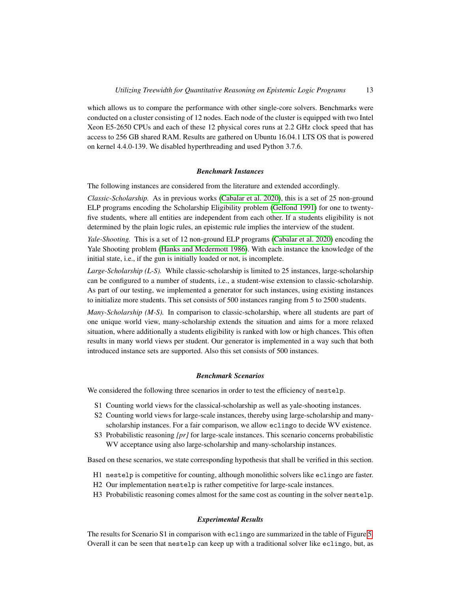which allows us to compare the performance with other single-core solvers. Benchmarks were conducted on a cluster consisting of 12 nodes. Each node of the cluster is equipped with two Intel Xeon E5-2650 CPUs and each of these 12 physical cores runs at 2.2 GHz clock speed that has access to 256 GB shared RAM. Results are gathered on Ubuntu 16.04.1 LTS OS that is powered on kernel 4.4.0-139. We disabled hyperthreading and used Python 3.7.6.

#### *Benchmark Instances*

The following instances are considered from the literature and extended accordingly.

*Classic-Scholarship.* As in previous works [\(Cabalar et al. 2020\)](#page-14-4), this is a set of 25 non-ground ELP programs encoding the Scholarship Eligibility problem [\(Gelfond 1991\)](#page-15-0) for one to twentyfive students, where all entities are independent from each other. If a students eligibility is not determined by the plain logic rules, an epistemic rule implies the interview of the student.

*Yale-Shooting.* This is a set of 12 non-ground ELP programs [\(Cabalar et al. 2020\)](#page-14-4) encoding the Yale Shooting problem [\(Hanks and Mcdermott 1986\)](#page-15-14). With each instance the knowledge of the initial state, i.e., if the gun is initially loaded or not, is incomplete.

*Large-Scholarship (L-S).* While classic-scholarship is limited to 25 instances, large-scholarship can be configured to a number of students, i.e., a student-wise extension to classic-scholarship. As part of our testing, we implemented a generator for such instances, using existing instances to initialize more students. This set consists of 500 instances ranging from 5 to 2500 students.

*Many-Scholarship (M-S).* In comparison to classic-scholarship, where all students are part of one unique world view, many-scholarship extends the situation and aims for a more relaxed situation, where additionally a students eligibility is ranked with low or high chances. This often results in many world views per student. Our generator is implemented in a way such that both introduced instance sets are supported. Also this set consists of 500 instances.

#### *Benchmark Scenarios*

We considered the following three scenarios in order to test the efficiency of nestelp.

- S1 Counting world views for the classical-scholarship as well as yale-shooting instances.
- S2 Counting world views for large-scale instances, thereby using large-scholarship and manyscholarship instances. For a fair comparison, we allow eclingo to decide WV existence.
- S3 Probabilistic reasoning *[pr]* for large-scale instances. This scenario concerns probabilistic WV acceptance using also large-scholarship and many-scholarship instances.

Based on these scenarios, we state corresponding hypothesis that shall be verified in this section.

- H1 nestelp is competitive for counting, although monolithic solvers like eclingo are faster.
- H2 Our implementation nestelp is rather competitive for large-scale instances.
- H3 Probabilistic reasoning comes almost for the same cost as counting in the solver nestelp.

## *Experimental Results*

The results for Scenario S1 in comparison with eclingo are summarized in the table of Figure [5.](#page-13-0) Overall it can be seen that nestelp can keep up with a traditional solver like eclingo, but, as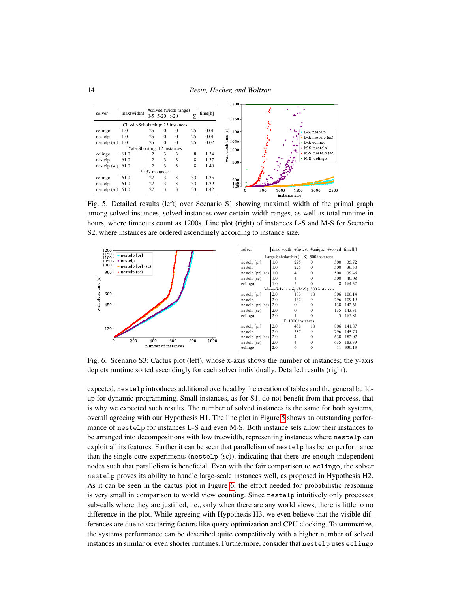

<span id="page-13-0"></span>Fig. 5. Detailed results (left) over Scenario S1 showing maximal width of the primal graph among solved instances, solved instances over certain width ranges, as well as total runtime in hours, where timeouts count as 1200s. Line plot (right) of instances L-S and M-S for Scenario S2, where instances are ordered ascendingly according to instance size.



<span id="page-13-1"></span>Fig. 6. Scenario S3: Cactus plot (left), whose x-axis shows the number of instances; the y-axis depicts runtime sorted ascendingly for each solver individually. Detailed results (right).

expected, nestelp introduces additional overhead by the creation of tables and the general buildup for dynamic programming. Small instances, as for S1, do not benefit from that process, that is why we expected such results. The number of solved instances is the same for both systems, overall agreeing with our Hypothesis H1. The line plot in Figure [5](#page-13-0) shows an outstanding performance of nestelp for instances L-S and even M-S. Both instance sets allow their instances to be arranged into decompositions with low treewidth, representing instances where nestelp can exploit all its features. Further it can be seen that parallelism of nestelp has better performance than the single-core experiments (nestelp (sc)), indicating that there are enough independent nodes such that parallelism is beneficial. Even with the fair comparison to eclingo, the solver nestelp proves its ability to handle large-scale instances well, as proposed in Hypothesis H2. As it can be seen in the cactus plot in Figure [6,](#page-13-1) the effort needed for probabilistic reasoning is very small in comparison to world view counting. Since nestelp intuitively only processes sub-calls where they are justified, i.e., only when there are any world views, there is little to no difference in the plot. While agreeing with Hypothesis H3, we even believe that the visible differences are due to scattering factors like query optimization and CPU clocking. To summarize, the systems performance can be described quite competitively with a higher number of solved instances in similar or even shorter runtimes. Furthermore, consider that nestelp uses eclingo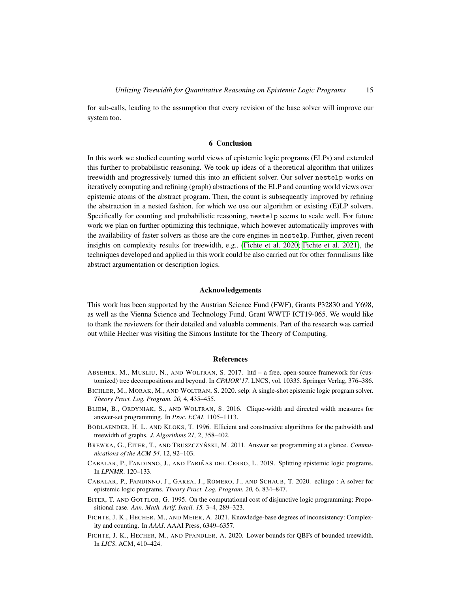for sub-calls, leading to the assumption that every revision of the base solver will improve our system too.

# 6 Conclusion

In this work we studied counting world views of epistemic logic programs (ELPs) and extended this further to probabilistic reasoning. We took up ideas of a theoretical algorithm that utilizes treewidth and progressively turned this into an efficient solver. Our solver nestelp works on iteratively computing and refining (graph) abstractions of the ELP and counting world views over epistemic atoms of the abstract program. Then, the count is subsequently improved by refining the abstraction in a nested fashion, for which we use our algorithm or existing (E)LP solvers. Specifically for counting and probabilistic reasoning, nestelp seems to scale well. For future work we plan on further optimizing this technique, which however automatically improves with the availability of faster solvers as those are the core engines in nestelp. Further, given recent insights on complexity results for treewidth, e.g., [\(Fichte et al. 2020;](#page-14-8) [Fichte et al. 2021\)](#page-14-9), the techniques developed and applied in this work could be also carried out for other formalisms like abstract argumentation or description logics.

## Acknowledgements

This work has been supported by the Austrian Science Fund (FWF), Grants P32830 and Y698, as well as the Vienna Science and Technology Fund, Grant WWTF ICT19-065. We would like to thank the reviewers for their detailed and valuable comments. Part of the research was carried out while Hecher was visiting the Simons Institute for the Theory of Computing.

#### References

- <span id="page-14-7"></span>ABSEHER, M., MUSLIU, N., AND WOLTRAN, S. 2017. htd – a free, open-source framework for (customized) tree decompositions and beyond. In *CPAIOR'17*. LNCS, vol. 10335. Springer Verlag, 376–386.
- <span id="page-14-3"></span>BICHLER, M., MORAK, M., AND WOLTRAN, S. 2020. selp: A single-shot epistemic logic program solver. *Theory Pract. Log. Program. 20,* 4, 435–455.
- <span id="page-14-5"></span>BLIEM, B., ORDYNIAK, S., AND WOLTRAN, S. 2016. Clique-width and directed width measures for answer-set programming. In *Proc. ECAI*. 1105–1113.
- <span id="page-14-6"></span>BODLAENDER, H. L. AND KLOKS, T. 1996. Efficient and constructive algorithms for the pathwidth and treewidth of graphs. *J. Algorithms 21,* 2, 358–402.
- <span id="page-14-0"></span>BREWKA, G., EITER, T., AND TRUSZCZYŃSKI, M. 2011. Answer set programming at a glance. *Communications of the ACM 54,* 12, 92–103.
- <span id="page-14-1"></span>CABALAR, P., FANDINNO, J., AND FARIÑAS DEL CERRO, L. 2019. Splitting epistemic logic programs. In *LPNMR*. 120–133.
- <span id="page-14-4"></span>CABALAR, P., FANDINNO, J., GAREA, J., ROMERO, J., AND SCHAUB, T. 2020. eclingo : A solver for epistemic logic programs. *Theory Pract. Log. Program. 20,* 6, 834–847.
- <span id="page-14-2"></span>EITER, T. AND GOTTLOB, G. 1995. On the computational cost of disjunctive logic programming: Propositional case. *Ann. Math. Artif. Intell. 15,* 3–4, 289–323.
- <span id="page-14-9"></span>FICHTE, J. K., HECHER, M., AND MEIER, A. 2021. Knowledge-base degrees of inconsistency: Complexity and counting. In *AAAI*. AAAI Press, 6349–6357.
- <span id="page-14-8"></span>FICHTE, J. K., HECHER, M., AND PFANDLER, A. 2020. Lower bounds for QBFs of bounded treewidth. In *LICS*. ACM, 410–424.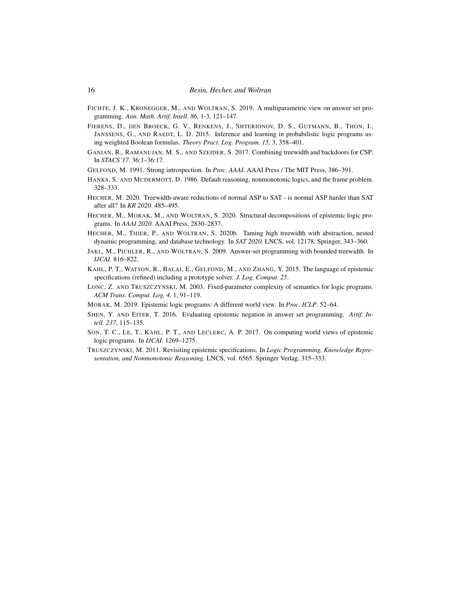- <span id="page-15-12"></span>FICHTE, J. K., KRONEGGER, M., AND WOLTRAN, S. 2019. A multiparametric view on answer set programming. *Ann. Math. Artif. Intell. 86,* 1-3, 121–147.
- <span id="page-15-4"></span>FIERENS, D., DEN BROECK, G. V., RENKENS, J., SHTERIONOV, D. S., GUTMANN, B., THON, I., JANSSENS, G., AND RAEDT, L. D. 2015. Inference and learning in probabilistic logic programs using weighted Boolean formulas. *Theory Pract. Log. Program. 15,* 3, 358–401.
- <span id="page-15-10"></span>GANIAN, R., RAMANUJAN, M. S., AND SZEIDER, S. 2017. Combining treewidth and backdoors for CSP. In *STACS'17*. 36:1–36:17.
- <span id="page-15-0"></span>GELFOND, M. 1991. Strong introspection. In *Proc. AAAI*. AAAI Press / The MIT Press, 386–391.
- <span id="page-15-14"></span>HANKS, S. AND MCDERMOTT, D. 1986. Default reasoning, nonmonotonic logics, and the frame problem. 328–333.
- <span id="page-15-9"></span>HECHER, M. 2020. Treewidth-aware reductions of normal ASP to SAT - is normal ASP harder than SAT after all? In *KR 2020*. 485–495.
- <span id="page-15-6"></span>HECHER, M., MORAK, M., AND WOLTRAN, S. 2020. Structural decompositions of epistemic logic programs. In *AAAI 2020*. AAAI Press, 2830–2837.
- <span id="page-15-7"></span>HECHER, M., THIER, P., AND WOLTRAN, S. 2020b. Taming high treewidth with abstraction, nested dynamic programming, and database technology. In *SAT 2020*. LNCS, vol. 12178. Springer, 343–360.
- <span id="page-15-8"></span>JAKL, M., PICHLER, R., AND WOLTRAN, S. 2009. Answer-set programming with bounded treewidth. In *IJCAI*. 816–822.
- <span id="page-15-2"></span>KAHL, P. T., WATSON, R., BALAI, E., GELFOND, M., AND ZHANG, Y. 2015. The language of epistemic specifications (refined) including a prototype solver. *J. Log. Comput. 25*.
- <span id="page-15-11"></span>LONC, Z. AND TRUSZCZYNSKI, M. 2003. Fixed-parameter complexity of semantics for logic programs. *ACM Trans. Comput. Log. 4,* 1, 91–119.
- <span id="page-15-13"></span>MORAK, M. 2019. Epistemic logic programs: A different world view. In *Proc. ICLP*. 52–64.
- <span id="page-15-3"></span>SHEN, Y. AND EITER, T. 2016. Evaluating epistemic negation in answer set programming. *Artif. Intell. 237*, 115–135.
- <span id="page-15-5"></span>SON, T. C., LE, T., KAHL, P. T., AND LECLERC, A. P. 2017. On computing world views of epistemic logic programs. In *IJCAI*. 1269–1275.
- <span id="page-15-1"></span>TRUSZCZYNSKI, M. 2011. Revisiting epistemic specifications. In *Logic Programming, Knowledge Representation, and Nonmonotonic Reasoning*. LNCS, vol. 6565. Springer Verlag, 315–333.